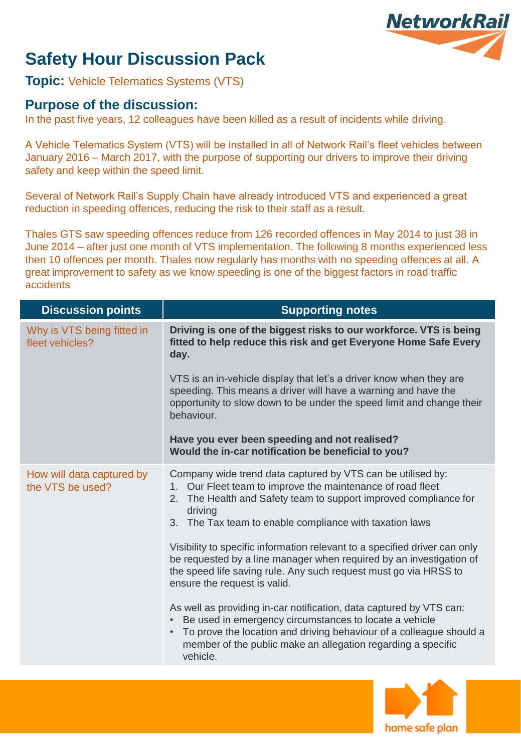# **NetworkRail**

## **Safety Hour Discussion Pack**

**Topic:** Vehicle Telematics Systems (VTS)

### **Purpose of the discussion:**

In the past five years, 12 colleagues have been killed as a result of incidents while driving.

A Vehicle Telematics System (VTS) will be installed in all of Network Rail's fleet vehicles between January 2016 – March 2017, with the purpose of supporting our drivers to improve their driving safety and keep within the speed limit.

Several of Network Rail's Supply Chain have already introduced VTS and experienced a great reduction in speeding offences, reducing the risk to their staff as a result.

Thales GTS saw speeding offences reduce from 126 recorded offences in May 2014 to just 38 in June 2014 – after just one month of VTS implementation. The following 8 months experienced less then 10 offences per month. Thales now regularly has months with no speeding offences at all. A great improvement to safety as we know speeding is one of the biggest factors in road traffic accidents

| <b>Discussion points</b>                      | <b>Supporting notes</b>                                                                                                                                                                                                                                                                                                                                                                                                                                                                                                         |
|-----------------------------------------------|---------------------------------------------------------------------------------------------------------------------------------------------------------------------------------------------------------------------------------------------------------------------------------------------------------------------------------------------------------------------------------------------------------------------------------------------------------------------------------------------------------------------------------|
| Why is VTS being fitted in<br>fleet vehicles? | Driving is one of the biggest risks to our workforce. VTS is being<br>fitted to help reduce this risk and get Everyone Home Safe Every<br>day.                                                                                                                                                                                                                                                                                                                                                                                  |
|                                               | VTS is an in-vehicle display that let's a driver know when they are<br>speeding. This means a driver will have a warning and have the<br>opportunity to slow down to be under the speed limit and change their<br>behaviour.                                                                                                                                                                                                                                                                                                    |
|                                               | Have you ever been speeding and not realised?<br>Would the in-car notification be beneficial to you?                                                                                                                                                                                                                                                                                                                                                                                                                            |
| How will data captured by<br>the VTS be used? | Company wide trend data captured by VTS can be utilised by:<br>1. Our Fleet team to improve the maintenance of road fleet<br>The Health and Safety team to support improved compliance for<br>2.<br>driving<br>3. The Tax team to enable compliance with taxation laws<br>Visibility to specific information relevant to a specified driver can only<br>be requested by a line manager when required by an investigation of<br>the speed life saving rule. Any such request must go via HRSS to<br>ensure the request is valid. |
|                                               | As well as providing in-car notification, data captured by VTS can:<br>Be used in emergency circumstances to locate a vehicle<br>To prove the location and driving behaviour of a colleague should a<br>$\bullet$<br>member of the public make an allegation regarding a specific<br>vehicle.                                                                                                                                                                                                                                   |